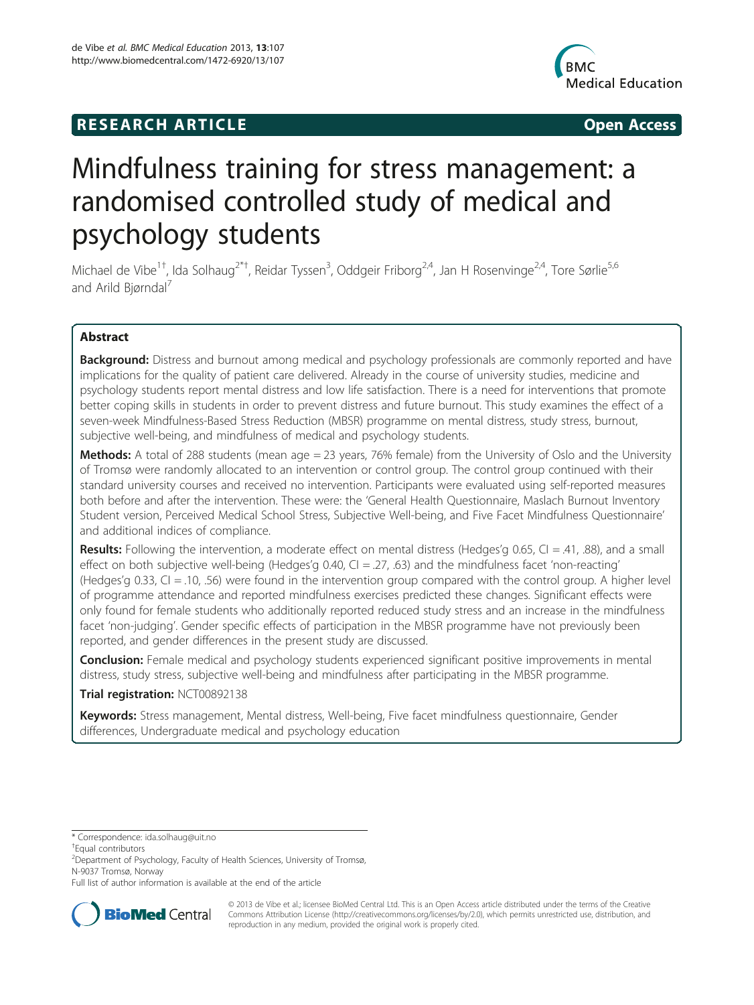## **RESEARCH ARTICLE Example 2014 12:30 The SEAR CHA RESEARCH ARTICLE**



# Mindfulness training for stress management: a randomised controlled study of medical and psychology students

Michael de Vibe<sup>1†</sup>, Ida Solhaug<sup>2\*†</sup>, Reidar Tyssen<sup>3</sup>, Oddgeir Friborg<sup>2,4</sup>, Jan H Rosenvinge<sup>2,4</sup>, Tore Sørlie<sup>5,6</sup> and Arild Biørndal<sup>7</sup>

## Abstract

Background: Distress and burnout among medical and psychology professionals are commonly reported and have implications for the quality of patient care delivered. Already in the course of university studies, medicine and psychology students report mental distress and low life satisfaction. There is a need for interventions that promote better coping skills in students in order to prevent distress and future burnout. This study examines the effect of a seven-week Mindfulness-Based Stress Reduction (MBSR) programme on mental distress, study stress, burnout, subjective well-being, and mindfulness of medical and psychology students.

Methods: A total of 288 students (mean age = 23 years, 76% female) from the University of Oslo and the University of Tromsø were randomly allocated to an intervention or control group. The control group continued with their standard university courses and received no intervention. Participants were evaluated using self-reported measures both before and after the intervention. These were: the 'General Health Questionnaire, Maslach Burnout Inventory Student version, Perceived Medical School Stress, Subjective Well-being, and Five Facet Mindfulness Questionnaire' and additional indices of compliance.

**Results:** Following the intervention, a moderate effect on mental distress (Hedges'g 0.65, CI = .41, .88), and a small effect on both subjective well-being (Hedges'g 0.40, CI = .27, .63) and the mindfulness facet 'non-reacting' (Hedges'g 0.33, CI = .10, .56) were found in the intervention group compared with the control group. A higher level of programme attendance and reported mindfulness exercises predicted these changes. Significant effects were only found for female students who additionally reported reduced study stress and an increase in the mindfulness facet 'non-judging'. Gender specific effects of participation in the MBSR programme have not previously been reported, and gender differences in the present study are discussed.

**Conclusion:** Female medical and psychology students experienced significant positive improvements in mental distress, study stress, subjective well-being and mindfulness after participating in the MBSR programme.

## Trial registration: [NCT00892138](http://clinicaltrials.gov/ct2/show/NCT00892138)

Keywords: Stress management, Mental distress, Well-being, Five facet mindfulness questionnaire, Gender differences, Undergraduate medical and psychology education

Full list of author information is available at the end of the article



© 2013 de Vibe et al.; licensee BioMed Central Ltd. This is an Open Access article distributed under the terms of the Creative Commons Attribution License [\(http://creativecommons.org/licenses/by/2.0\)](http://creativecommons.org/licenses/by/2.0), which permits unrestricted use, distribution, and reproduction in any medium, provided the original work is properly cited.

<sup>\*</sup> Correspondence: [ida.solhaug@uit.no](mailto:ida.solhaug@uit.no) †

Equal contributors

<sup>2</sup> Department of Psychology, Faculty of Health Sciences, University of Tromsø, N-9037 Tromsø, Norway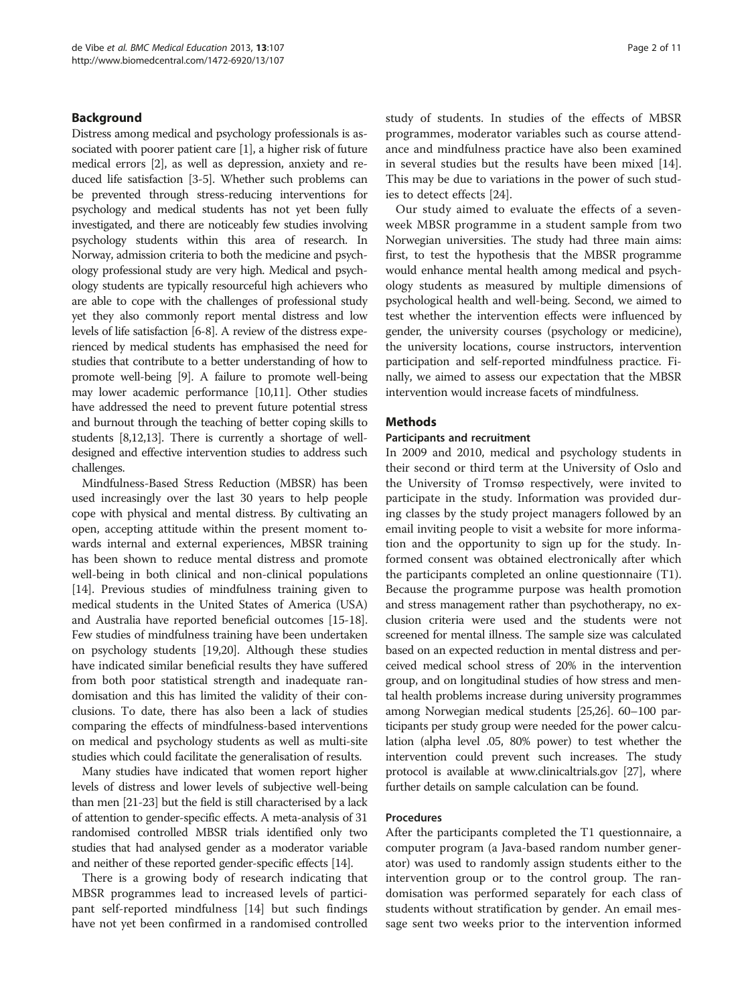#### Background

Distress among medical and psychology professionals is associated with poorer patient care [\[1\]](#page-9-0), a higher risk of future medical errors [\[2\]](#page-9-0), as well as depression, anxiety and reduced life satisfaction [\[3-5\]](#page-9-0). Whether such problems can be prevented through stress-reducing interventions for psychology and medical students has not yet been fully investigated, and there are noticeably few studies involving psychology students within this area of research. In Norway, admission criteria to both the medicine and psychology professional study are very high. Medical and psychology students are typically resourceful high achievers who are able to cope with the challenges of professional study yet they also commonly report mental distress and low levels of life satisfaction [\[6-8\]](#page-9-0). A review of the distress experienced by medical students has emphasised the need for studies that contribute to a better understanding of how to promote well-being [\[9\]](#page-9-0). A failure to promote well-being may lower academic performance [\[10,11](#page-9-0)]. Other studies have addressed the need to prevent future potential stress and burnout through the teaching of better coping skills to students [\[8,12,13\]](#page-9-0). There is currently a shortage of welldesigned and effective intervention studies to address such challenges.

Mindfulness-Based Stress Reduction (MBSR) has been used increasingly over the last 30 years to help people cope with physical and mental distress. By cultivating an open, accepting attitude within the present moment towards internal and external experiences, MBSR training has been shown to reduce mental distress and promote well-being in both clinical and non-clinical populations [[14](#page-9-0)]. Previous studies of mindfulness training given to medical students in the United States of America (USA) and Australia have reported beneficial outcomes [[15](#page-9-0)-[18](#page-9-0)]. Few studies of mindfulness training have been undertaken on psychology students [\[19,20](#page-9-0)]. Although these studies have indicated similar beneficial results they have suffered from both poor statistical strength and inadequate randomisation and this has limited the validity of their conclusions. To date, there has also been a lack of studies comparing the effects of mindfulness-based interventions on medical and psychology students as well as multi-site studies which could facilitate the generalisation of results.

Many studies have indicated that women report higher levels of distress and lower levels of subjective well-being than men [\[21](#page-9-0)-[23](#page-9-0)] but the field is still characterised by a lack of attention to gender-specific effects. A meta-analysis of 31 randomised controlled MBSR trials identified only two studies that had analysed gender as a moderator variable and neither of these reported gender-specific effects [[14](#page-9-0)].

There is a growing body of research indicating that MBSR programmes lead to increased levels of participant self-reported mindfulness [\[14\]](#page-9-0) but such findings have not yet been confirmed in a randomised controlled study of students. In studies of the effects of MBSR programmes, moderator variables such as course attendance and mindfulness practice have also been examined in several studies but the results have been mixed [\[14](#page-9-0)]. This may be due to variations in the power of such studies to detect effects [[24](#page-9-0)].

Our study aimed to evaluate the effects of a sevenweek MBSR programme in a student sample from two Norwegian universities. The study had three main aims: first, to test the hypothesis that the MBSR programme would enhance mental health among medical and psychology students as measured by multiple dimensions of psychological health and well-being. Second, we aimed to test whether the intervention effects were influenced by gender, the university courses (psychology or medicine), the university locations, course instructors, intervention participation and self-reported mindfulness practice. Finally, we aimed to assess our expectation that the MBSR intervention would increase facets of mindfulness.

## **Methods**

#### Participants and recruitment

In 2009 and 2010, medical and psychology students in their second or third term at the University of Oslo and the University of Tromsø respectively, were invited to participate in the study. Information was provided during classes by the study project managers followed by an email inviting people to visit a website for more information and the opportunity to sign up for the study. Informed consent was obtained electronically after which the participants completed an online questionnaire (T1). Because the programme purpose was health promotion and stress management rather than psychotherapy, no exclusion criteria were used and the students were not screened for mental illness. The sample size was calculated based on an expected reduction in mental distress and perceived medical school stress of 20% in the intervention group, and on longitudinal studies of how stress and mental health problems increase during university programmes among Norwegian medical students [\[25,26](#page-9-0)]. 60–100 participants per study group were needed for the power calculation (alpha level .05, 80% power) to test whether the intervention could prevent such increases. The study protocol is available at www.clinicaltrials.gov [\[27\]](#page-9-0), where further details on sample calculation can be found.

#### Procedures

After the participants completed the T1 questionnaire, a computer program (a Java-based random number generator) was used to randomly assign students either to the intervention group or to the control group. The randomisation was performed separately for each class of students without stratification by gender. An email message sent two weeks prior to the intervention informed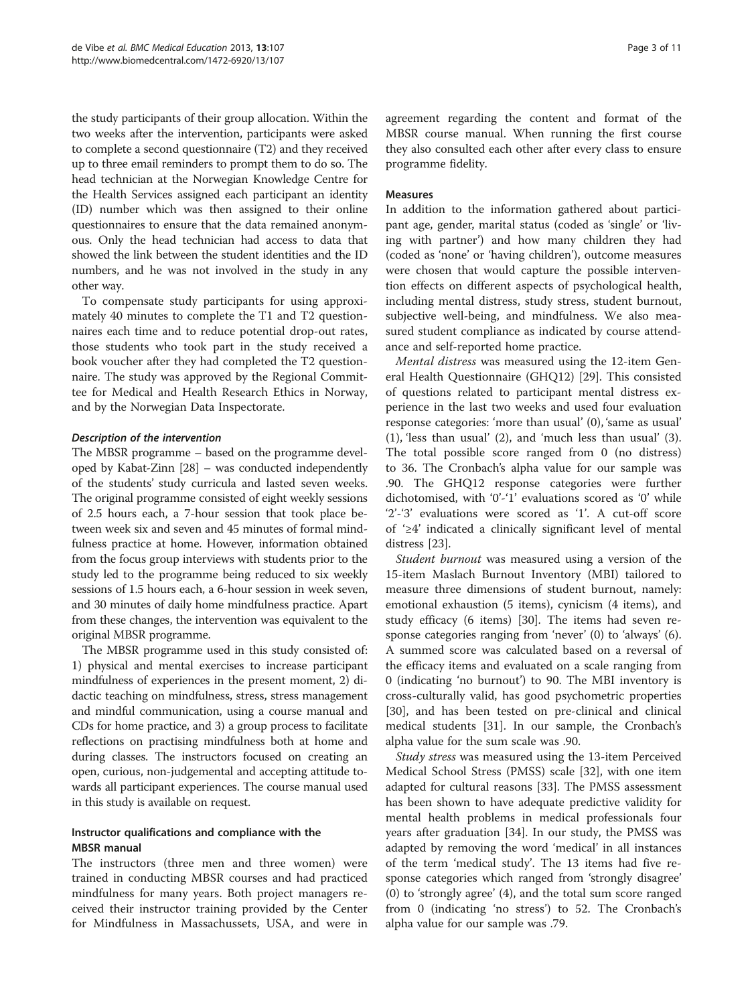the study participants of their group allocation. Within the two weeks after the intervention, participants were asked to complete a second questionnaire (T2) and they received up to three email reminders to prompt them to do so. The head technician at the Norwegian Knowledge Centre for the Health Services assigned each participant an identity (ID) number which was then assigned to their online questionnaires to ensure that the data remained anonymous. Only the head technician had access to data that showed the link between the student identities and the ID numbers, and he was not involved in the study in any other way.

To compensate study participants for using approximately 40 minutes to complete the T1 and T2 questionnaires each time and to reduce potential drop-out rates, those students who took part in the study received a book voucher after they had completed the T2 questionnaire. The study was approved by the Regional Committee for Medical and Health Research Ethics in Norway, and by the Norwegian Data Inspectorate.

#### Description of the intervention

The MBSR programme – based on the programme developed by Kabat-Zinn [[28](#page-9-0)] – was conducted independently of the students' study curricula and lasted seven weeks. The original programme consisted of eight weekly sessions of 2.5 hours each, a 7-hour session that took place between week six and seven and 45 minutes of formal mindfulness practice at home. However, information obtained from the focus group interviews with students prior to the study led to the programme being reduced to six weekly sessions of 1.5 hours each, a 6-hour session in week seven, and 30 minutes of daily home mindfulness practice. Apart from these changes, the intervention was equivalent to the original MBSR programme.

The MBSR programme used in this study consisted of: 1) physical and mental exercises to increase participant mindfulness of experiences in the present moment, 2) didactic teaching on mindfulness, stress, stress management and mindful communication, using a course manual and CDs for home practice, and 3) a group process to facilitate reflections on practising mindfulness both at home and during classes. The instructors focused on creating an open, curious, non-judgemental and accepting attitude towards all participant experiences. The course manual used in this study is available on request.

## Instructor qualifications and compliance with the MBSR manual

The instructors (three men and three women) were trained in conducting MBSR courses and had practiced mindfulness for many years. Both project managers received their instructor training provided by the Center for Mindfulness in Massachussets, USA, and were in agreement regarding the content and format of the MBSR course manual. When running the first course they also consulted each other after every class to ensure programme fidelity.

#### Measures

In addition to the information gathered about participant age, gender, marital status (coded as 'single' or 'living with partner') and how many children they had (coded as 'none' or 'having children'), outcome measures were chosen that would capture the possible intervention effects on different aspects of psychological health, including mental distress, study stress, student burnout, subjective well-being, and mindfulness. We also measured student compliance as indicated by course attendance and self-reported home practice.

Mental distress was measured using the 12-item General Health Questionnaire (GHQ12) [[29](#page-9-0)]. This consisted of questions related to participant mental distress experience in the last two weeks and used four evaluation response categories: 'more than usual' (0), 'same as usual' (1), 'less than usual' (2), and 'much less than usual' (3). The total possible score ranged from 0 (no distress) to 36. The Cronbach's alpha value for our sample was .90. The GHQ12 response categories were further dichotomised, with '0'-'1' evaluations scored as '0' while '2'-'3' evaluations were scored as '1'. A cut-off score of '≥4' indicated a clinically significant level of mental distress [\[23](#page-9-0)].

Student burnout was measured using a version of the 15-item Maslach Burnout Inventory (MBI) tailored to measure three dimensions of student burnout, namely: emotional exhaustion (5 items), cynicism (4 items), and study efficacy (6 items) [\[30](#page-9-0)]. The items had seven response categories ranging from 'never' (0) to 'always' (6). A summed score was calculated based on a reversal of the efficacy items and evaluated on a scale ranging from 0 (indicating 'no burnout') to 90. The MBI inventory is cross-culturally valid, has good psychometric properties [[30\]](#page-9-0), and has been tested on pre-clinical and clinical medical students [[31\]](#page-9-0). In our sample, the Cronbach's alpha value for the sum scale was .90.

Study stress was measured using the 13-item Perceived Medical School Stress (PMSS) scale [\[32\]](#page-9-0), with one item adapted for cultural reasons [\[33](#page-9-0)]. The PMSS assessment has been shown to have adequate predictive validity for mental health problems in medical professionals four years after graduation [\[34\]](#page-9-0). In our study, the PMSS was adapted by removing the word 'medical' in all instances of the term 'medical study'. The 13 items had five response categories which ranged from 'strongly disagree' (0) to 'strongly agree' (4), and the total sum score ranged from 0 (indicating 'no stress') to 52. The Cronbach's alpha value for our sample was .79.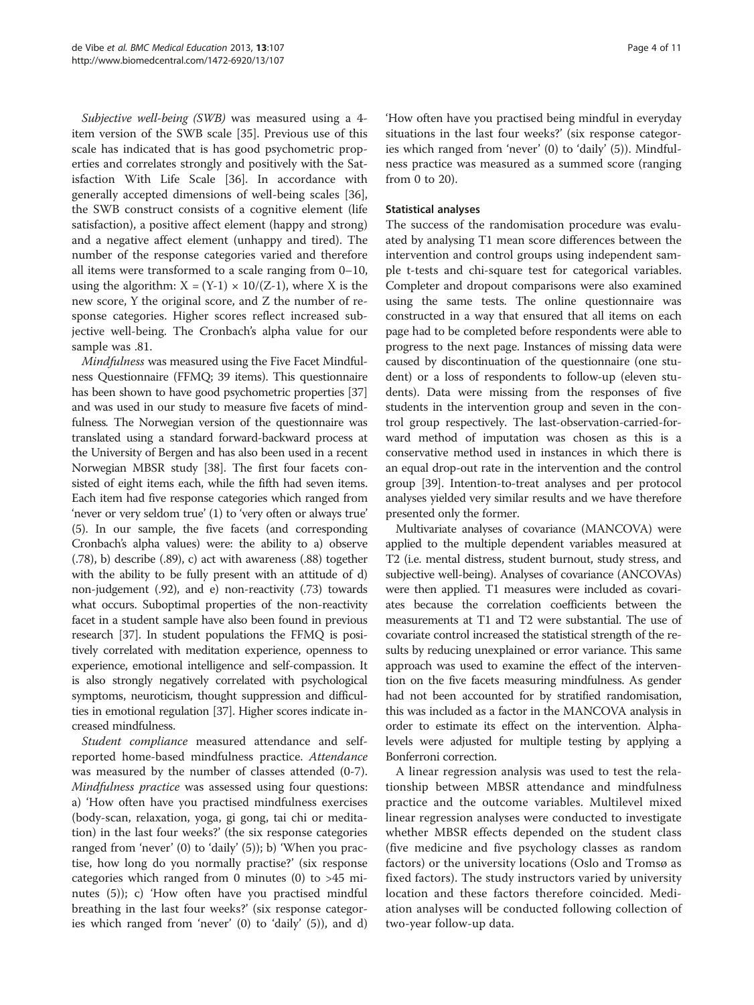Subjective well-being (SWB) was measured using a 4 item version of the SWB scale [[35\]](#page-9-0). Previous use of this scale has indicated that is has good psychometric properties and correlates strongly and positively with the Satisfaction With Life Scale [[36\]](#page-9-0). In accordance with generally accepted dimensions of well-being scales [\[36](#page-9-0)], the SWB construct consists of a cognitive element (life satisfaction), a positive affect element (happy and strong) and a negative affect element (unhappy and tired). The number of the response categories varied and therefore all items were transformed to a scale ranging from 0–10, using the algorithm:  $X = (Y-1) \times 10/(Z-1)$ , where X is the new score, Y the original score, and Z the number of response categories. Higher scores reflect increased subjective well-being. The Cronbach's alpha value for our sample was .81.

Mindfulness was measured using the Five Facet Mindfulness Questionnaire (FFMQ; 39 items). This questionnaire has been shown to have good psychometric properties [[37](#page-9-0)] and was used in our study to measure five facets of mindfulness. The Norwegian version of the questionnaire was translated using a standard forward-backward process at the University of Bergen and has also been used in a recent Norwegian MBSR study [\[38\]](#page-9-0). The first four facets consisted of eight items each, while the fifth had seven items. Each item had five response categories which ranged from 'never or very seldom true' (1) to 'very often or always true' (5). In our sample, the five facets (and corresponding Cronbach's alpha values) were: the ability to a) observe (.78), b) describe (.89), c) act with awareness (.88) together with the ability to be fully present with an attitude of d) non-judgement (.92), and e) non-reactivity (.73) towards what occurs. Suboptimal properties of the non-reactivity facet in a student sample have also been found in previous research [\[37](#page-9-0)]. In student populations the FFMQ is positively correlated with meditation experience, openness to experience, emotional intelligence and self-compassion. It is also strongly negatively correlated with psychological symptoms, neuroticism, thought suppression and difficulties in emotional regulation [\[37\]](#page-9-0). Higher scores indicate increased mindfulness.

Student compliance measured attendance and selfreported home-based mindfulness practice. Attendance was measured by the number of classes attended (0-7). Mindfulness practice was assessed using four questions: a) 'How often have you practised mindfulness exercises (body-scan, relaxation, yoga, gi gong, tai chi or meditation) in the last four weeks?' (the six response categories ranged from 'never' (0) to 'daily' (5)); b) 'When you practise, how long do you normally practise?' (six response categories which ranged from 0 minutes  $(0)$  to  $>45$  minutes (5)); c) 'How often have you practised mindful breathing in the last four weeks?' (six response categories which ranged from 'never' (0) to 'daily' (5)), and d)

'How often have you practised being mindful in everyday situations in the last four weeks?' (six response categories which ranged from 'never' (0) to 'daily' (5)). Mindfulness practice was measured as a summed score (ranging from 0 to 20).

## Statistical analyses

The success of the randomisation procedure was evaluated by analysing T1 mean score differences between the intervention and control groups using independent sample t-tests and chi-square test for categorical variables. Completer and dropout comparisons were also examined using the same tests. The online questionnaire was constructed in a way that ensured that all items on each page had to be completed before respondents were able to progress to the next page. Instances of missing data were caused by discontinuation of the questionnaire (one student) or a loss of respondents to follow-up (eleven students). Data were missing from the responses of five students in the intervention group and seven in the control group respectively. The last-observation-carried-forward method of imputation was chosen as this is a conservative method used in instances in which there is an equal drop-out rate in the intervention and the control group [\[39\]](#page-9-0). Intention-to-treat analyses and per protocol analyses yielded very similar results and we have therefore presented only the former.

Multivariate analyses of covariance (MANCOVA) were applied to the multiple dependent variables measured at T2 (i.e. mental distress, student burnout, study stress, and subjective well-being). Analyses of covariance (ANCOVAs) were then applied. T1 measures were included as covariates because the correlation coefficients between the measurements at T1 and T2 were substantial. The use of covariate control increased the statistical strength of the results by reducing unexplained or error variance. This same approach was used to examine the effect of the intervention on the five facets measuring mindfulness. As gender had not been accounted for by stratified randomisation, this was included as a factor in the MANCOVA analysis in order to estimate its effect on the intervention. Alphalevels were adjusted for multiple testing by applying a Bonferroni correction.

A linear regression analysis was used to test the relationship between MBSR attendance and mindfulness practice and the outcome variables. Multilevel mixed linear regression analyses were conducted to investigate whether MBSR effects depended on the student class (five medicine and five psychology classes as random factors) or the university locations (Oslo and Tromsø as fixed factors). The study instructors varied by university location and these factors therefore coincided. Mediation analyses will be conducted following collection of two-year follow-up data.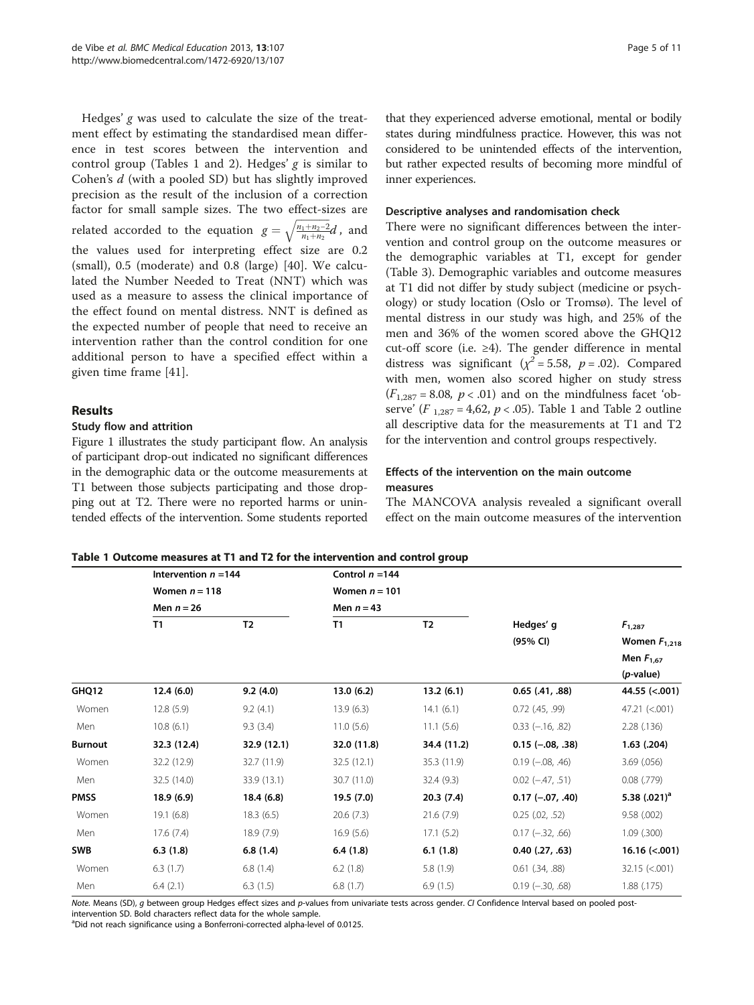<span id="page-4-0"></span>Hedges'  $g$  was used to calculate the size of the treatment effect by estimating the standardised mean difference in test scores between the intervention and control group (Tables 1 and [2\)](#page-5-0). Hedges'  $g$  is similar to Cohen's d (with a pooled SD) but has slightly improved precision as the result of the inclusion of a correction factor for small sample sizes. The two effect-sizes are related accorded to the equation  $g = \sqrt{\frac{n_1+n_2-2}{n_1+n_2}}$  $\sqrt{\frac{n_1+n_2-2}{n_1+n_2}}d$ , and the values used for interpreting effect size are 0.2 (small), 0.5 (moderate) and 0.8 (large) [\[40](#page-10-0)]. We calculated the Number Needed to Treat (NNT) which was used as a measure to assess the clinical importance of the effect found on mental distress. NNT is defined as the expected number of people that need to receive an intervention rather than the control condition for one additional person to have a specified effect within a given time frame [\[41](#page-10-0)].

## Results

## Study flow and attrition

Figure [1](#page-5-0) illustrates the study participant flow. An analysis of participant drop-out indicated no significant differences in the demographic data or the outcome measurements at T1 between those subjects participating and those dropping out at T2. There were no reported harms or unintended effects of the intervention. Some students reported

that they experienced adverse emotional, mental or bodily states during mindfulness practice. However, this was not considered to be unintended effects of the intervention, but rather expected results of becoming more mindful of inner experiences.

#### Descriptive analyses and randomisation check

There were no significant differences between the intervention and control group on the outcome measures or the demographic variables at T1, except for gender (Table [3](#page-6-0)). Demographic variables and outcome measures at T1 did not differ by study subject (medicine or psychology) or study location (Oslo or Tromsø). The level of mental distress in our study was high, and 25% of the men and 36% of the women scored above the GHQ12 cut-off score (i.e. ≥4). The gender difference in mental distress was significant ( $\chi^2$  = 5.58, p = .02). Compared with men, women also scored higher on study stress  $(F_{1,287} = 8.08, p < .01)$  and on the mindfulness facet 'observe' ( $F_{1,287} = 4,62, p < .05$ ). Table 1 and Table 2 outline all descriptive data for the measurements at T1 and T2 for the intervention and control groups respectively.

## Effects of the intervention on the main outcome measures

The MANCOVA analysis revealed a significant overall effect on the main outcome measures of the intervention

|  | Table 1 Outcome measures at T1 and T2 for the intervention and control group |  |  |  |  |
|--|------------------------------------------------------------------------------|--|--|--|--|
|--|------------------------------------------------------------------------------|--|--|--|--|

|                | Intervention $n = 144$<br>Women $n = 118$<br>Men $n = 26$ |                | Control $n = 144$ |                |                            |                    |
|----------------|-----------------------------------------------------------|----------------|-------------------|----------------|----------------------------|--------------------|
|                |                                                           |                | Women $n = 101$   |                |                            |                    |
|                |                                                           |                | Men $n = 43$      |                |                            |                    |
|                | T1                                                        | T <sub>2</sub> | T1                | T <sub>2</sub> | Hedges' g                  | $F_{1,287}$        |
|                |                                                           |                |                   |                | (95% CI)                   | Women $F_{1,218}$  |
|                |                                                           |                |                   |                |                            | Men $F_{1.67}$     |
|                |                                                           |                |                   |                |                            | (p-value)          |
| GHQ12          | 12.4(6.0)                                                 | 9.2(4.0)       | 13.0(6.2)         | 13.2(6.1)      | $0.65$ $(.41, .88)$        | 44.55 (<.001)      |
| Women          | 12.8(5.9)                                                 | 9.2(4.1)       | 13.9(6.3)         | 14.1(6.1)      | $0.72$ (.45, .99)          | 47.21 (< 0.001)    |
| Men            | 10.8(6.1)                                                 | 9.3(3.4)       | 11.0(5.6)         | 11.1(5.6)      | $0.33 (-16, .82)$          | 2.28(.136)         |
| <b>Burnout</b> | 32.3 (12.4)                                               | 32.9 (12.1)    | 32.0 (11.8)       | 34.4 (11.2)    | $0.15 (-.08, .38)$         | $1.63$ (.204)      |
| Women          | 32.2 (12.9)                                               | 32.7 (11.9)    | 32.5(12.1)        | 35.3 (11.9)    | $0.19$ ( $-0.08$ , $.46$ ) | $3.69$ $(.056)$    |
| Men            | 32.5 (14.0)                                               | 33.9 (13.1)    | 30.7 (11.0)       | 32.4(9.3)      | $0.02$ ( $-47, .51$ )      | $0.08$ (.779)      |
| <b>PMSS</b>    | 18.9(6.9)                                                 | 18.4(6.8)      | 19.5 (7.0)        | 20.3(7.4)      | $0.17$ (-.07, .40)         | 5.38 $(.021)^a$    |
| Women          | 19.1(6.8)                                                 | 18.3(6.5)      | 20.6(7.3)         | 21.6(7.9)      | $0.25$ $(.02, .52)$        | 9.58(.002)         |
| Men            | 17.6(7.4)                                                 | 18.9(7.9)      | 16.9(5.6)         | 17.1(5.2)      | $0.17$ ( $-32$ , .66)      | $1.09$ (.300)      |
| SWB            | 6.3(1.8)                                                  | 6.8(1.4)       | 6.4(1.8)          | 6.1(1.8)       | $0.40$ $(.27, .63)$        | $16.16$ (<.001)    |
| Women          | 6.3(1.7)                                                  | 6.8(1.4)       | 6.2(1.8)          | 5.8(1.9)       | $0.61$ $(.34, .88)$        | $32.15 \; (< 001)$ |
| Men            | 6.4(2.1)                                                  | 6.3(1.5)       | 6.8(1.7)          | 6.9(1.5)       | $0.19$ ( $-30, .68$ )      | 1.88(0.175)        |

Note. Means (SD), g between group Hedges effect sizes and p-values from univariate tests across gender. CI Confidence Interval based on pooled postintervention SD. Bold characters reflect data for the whole sample.

<sup>a</sup>Did not reach significance using a Bonferroni-corrected alpha-level of 0.0125.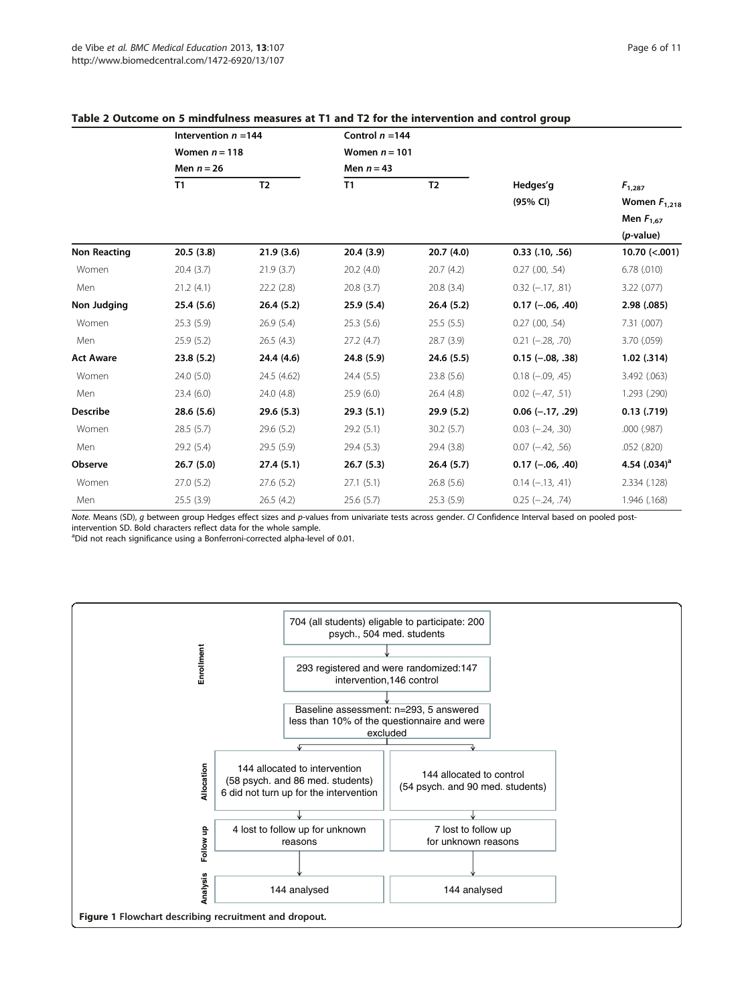|                     | Intervention $n = 144$          |                | Control $n = 144$               |                |                          |                                  |
|---------------------|---------------------------------|----------------|---------------------------------|----------------|--------------------------|----------------------------------|
|                     | Women $n = 118$<br>Men $n = 26$ |                | Women $n = 101$<br>Men $n = 43$ |                |                          |                                  |
|                     |                                 |                |                                 |                |                          |                                  |
|                     | T1                              | T <sub>2</sub> | T1                              | T <sub>2</sub> | Hedges'g<br>(95% CI)     | $F_{1,287}$<br>Women $F_{1,218}$ |
|                     |                                 |                |                                 |                |                          | Men $F_{1.67}$                   |
|                     |                                 |                |                                 |                |                          | $(p$ -value)                     |
| <b>Non Reacting</b> | 20.5(3.8)                       | 21.9(3.6)      | 20.4(3.9)                       | 20.7(4.0)      | $0.33$ $(.10, .56)$      | $10.70$ (<.001)                  |
| Women               | 20.4(3.7)                       | 21.9(3.7)      | 20.2(4.0)                       | 20.7(4.2)      | $0.27$ (.00, .54)        | $6.78$ $(.010)$                  |
| Men                 | 21.2(4.1)                       | 22.2(2.8)      | 20.8 (3.7)                      | 20.8(3.4)      | $0.32$ ( $-17, .81$ )    | $3.22$ (.077)                    |
| Non Judging         | 25.4(5.6)                       | 26.4(5.2)      | 25.9(5.4)                       | 26.4(5.2)      | $0.17$ (-.06, .40)       | 2.98 (.085)                      |
| Women               | 25.3(5.9)                       | 26.9(5.4)      | 25.3(5.6)                       | 25.5(5.5)      | $0.27$ $(.00, .54)$      | 7.31(.007)                       |
| Men                 | 25.9(5.2)                       | 26.5(4.3)      | 27.2(4.7)                       | 28.7(3.9)      | $0.21 (-.28, .70)$       | 3.70 (.059)                      |
| <b>Act Aware</b>    | 23.8(5.2)                       | 24.4 (4.6)     | 24.8 (5.9)                      | 24.6(5.5)      | $0.15$ ( $-.08, .38$ )   | $1.02$ (.314)                    |
| Women               | 24.0 (5.0)                      | 24.5 (4.62)    | 24.4 (5.5)                      | 23.8 (5.6)     | $0.18$ $(-.09, .45)$     | 3.492 (.063)                     |
| Men                 | 23.4(6.0)                       | 24.0(4.8)      | 25.9(6.0)                       | 26.4(4.8)      | $0.02$ ( $-47, .51$ )    | 1.293 (.290)                     |
| <b>Describe</b>     | 28.6(5.6)                       | 29.6(5.3)      | 29.3(5.1)                       | 29.9(5.2)      | $0.06$ (-.17, .29)       | $0.13$ $(.719)$                  |
| Women               | 28.5(5.7)                       | 29.6(5.2)      | 29.2(5.1)                       | 30.2(5.7)      | $0.03$ ( $-24$ , $.30$ ) | .000(.987)                       |
| Men                 | 29.2 (5.4)                      | 29.5 (5.9)     | 29.4 (5.3)                      | 29.4 (3.8)     | $0.07$ ( $-42, .56$ )    | .052(.820)                       |
| Observe             | 26.7(5.0)                       | 27.4(5.1)      | 26.7(5.3)                       | 26.4(5.7)      | $0.17 (-.06, .40)$       | 4.54 $(.034)^a$                  |
| Women               | 27.0(5.2)                       | 27.6(5.2)      | 27.1(5.1)                       | 26.8(5.6)      | $0.14 (-.13, .41)$       | 2.334 (.128)                     |
| Men                 | 25.5(3.9)                       | 26.5(4.2)      | 25.6(5.7)                       | 25.3(5.9)      | $0.25 (-.24, .74)$       | 1.946 (.168)                     |

#### <span id="page-5-0"></span>Table 2 Outcome on 5 mindfulness measures at T1 and T2 for the intervention and control group

Note. Means (SD), g between group Hedges effect sizes and p-values from univariate tests across gender. CI Confidence Interval based on pooled post-

intervention SD. Bold characters reflect data for the whole sample.

<sup>a</sup>Did not reach significance using a Bonferroni-corrected alpha-level of 0.01.

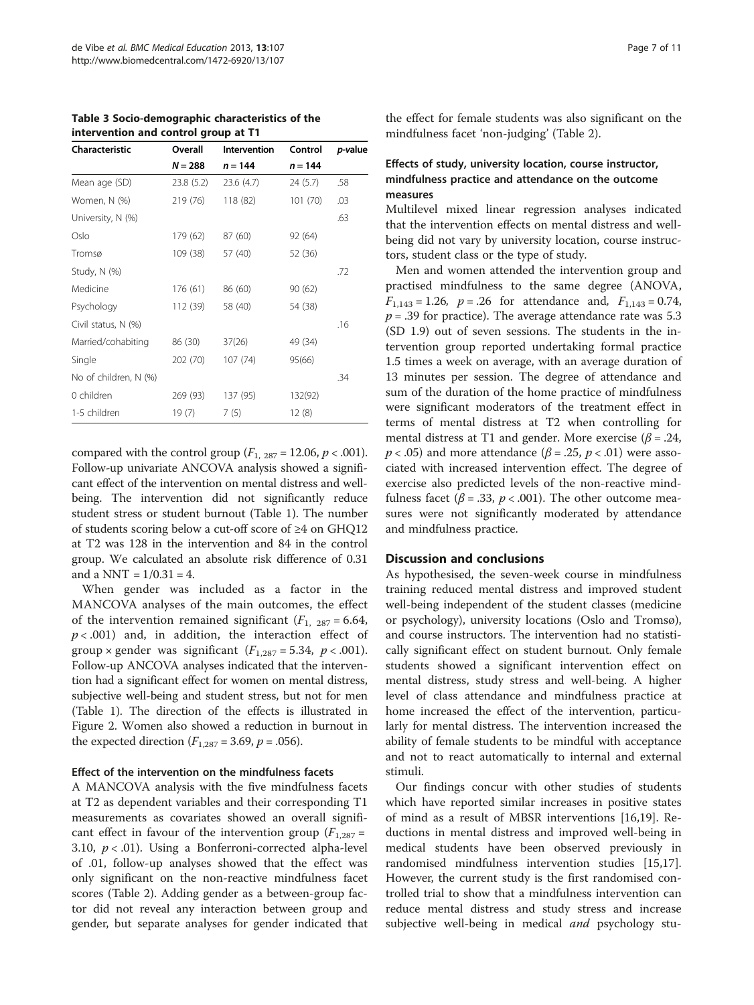<span id="page-6-0"></span>Table 3 Socio-demographic characteristics of the intervention and control group at T1

| Characteristic        | Overall   | Intervention | Control   | <i>p</i> -value |
|-----------------------|-----------|--------------|-----------|-----------------|
|                       | $N = 288$ | $n = 144$    | $n = 144$ |                 |
| Mean age (SD)         | 23.8(5.2) | 23.6 (4.7)   | 24 (5.7)  | .58             |
| Women, N (%)          | 219 (76)  | 118 (82)     | 101(70)   | .03             |
| University, N (%)     |           |              |           | .63             |
| Oslo                  | 179 (62)  | 87 (60)      | 92 (64)   |                 |
| Tromsø                | 109 (38)  | 57 (40)      | 52 (36)   |                 |
| Study, N (%)          |           |              |           | .72             |
| Medicine              | 176 (61)  | 86 (60)      | 90(62)    |                 |
| Psychology            | 112 (39)  | 58 (40)      | 54 (38)   |                 |
| Civil status, N (%)   |           |              |           | .16             |
| Married/cohabiting    | 86 (30)   | 37(26)       | 49 (34)   |                 |
| Single                | 202 (70)  | 107(74)      | 95(66)    |                 |
| No of children, N (%) |           |              |           | .34             |
| 0 children            | 269 (93)  | 137 (95)     | 132(92)   |                 |
| 1-5 children          | 19(7)     | 7(5)         | 12(8)     |                 |

compared with the control group  $(F_{1, 287} = 12.06, p < .001)$ . Follow-up univariate ANCOVA analysis showed a significant effect of the intervention on mental distress and wellbeing. The intervention did not significantly reduce student stress or student burnout (Table [1\)](#page-4-0). The number of students scoring below a cut-off score of ≥4 on GHQ12 at T2 was 128 in the intervention and 84 in the control group. We calculated an absolute risk difference of 0.31 and a NNT =  $1/0.31 = 4$ .

When gender was included as a factor in the MANCOVA analyses of the main outcomes, the effect of the intervention remained significant  $(F_1, 287 = 6.64,$  $p < .001$ ) and, in addition, the interaction effect of group × gender was significant  $(F_{1,287} = 5.34, p < .001)$ . Follow-up ANCOVA analyses indicated that the intervention had a significant effect for women on mental distress, subjective well-being and student stress, but not for men (Table [1\)](#page-4-0). The direction of the effects is illustrated in Figure [2](#page-7-0). Women also showed a reduction in burnout in the expected direction  $(F_{1,287} = 3.69, p = .056)$ .

#### Effect of the intervention on the mindfulness facets

A MANCOVA analysis with the five mindfulness facets at T2 as dependent variables and their corresponding T1 measurements as covariates showed an overall significant effect in favour of the intervention group ( $F_{1,287}$  = 3.10,  $p < .01$ ). Using a Bonferroni-corrected alpha-level of .01, follow-up analyses showed that the effect was only significant on the non-reactive mindfulness facet scores (Table [2\)](#page-5-0). Adding gender as a between-group factor did not reveal any interaction between group and gender, but separate analyses for gender indicated that

## Effects of study, university location, course instructor, mindfulness practice and attendance on the outcome measures

Multilevel mixed linear regression analyses indicated that the intervention effects on mental distress and wellbeing did not vary by university location, course instructors, student class or the type of study.

Men and women attended the intervention group and practised mindfulness to the same degree (ANOVA,  $F_{1,143} = 1.26$ ,  $p = .26$  for attendance and,  $F_{1,143} = 0.74$ ,  $p = .39$  for practice). The average attendance rate was 5.3 (SD 1.9) out of seven sessions. The students in the intervention group reported undertaking formal practice 1.5 times a week on average, with an average duration of 13 minutes per session. The degree of attendance and sum of the duration of the home practice of mindfulness were significant moderators of the treatment effect in terms of mental distress at T2 when controlling for mental distress at T1 and gender. More exercise ( $\beta$  = .24,  $p < .05$ ) and more attendance ( $\beta = .25$ ,  $p < .01$ ) were associated with increased intervention effect. The degree of exercise also predicted levels of the non-reactive mindfulness facet ( $\beta$  = .33,  $p < .001$ ). The other outcome measures were not significantly moderated by attendance and mindfulness practice.

#### Discussion and conclusions

As hypothesised, the seven-week course in mindfulness training reduced mental distress and improved student well-being independent of the student classes (medicine or psychology), university locations (Oslo and Tromsø), and course instructors. The intervention had no statistically significant effect on student burnout. Only female students showed a significant intervention effect on mental distress, study stress and well-being. A higher level of class attendance and mindfulness practice at home increased the effect of the intervention, particularly for mental distress. The intervention increased the ability of female students to be mindful with acceptance and not to react automatically to internal and external stimuli.

Our findings concur with other studies of students which have reported similar increases in positive states of mind as a result of MBSR interventions [\[16,19](#page-9-0)]. Reductions in mental distress and improved well-being in medical students have been observed previously in randomised mindfulness intervention studies [\[15,17](#page-9-0)]. However, the current study is the first randomised controlled trial to show that a mindfulness intervention can reduce mental distress and study stress and increase subjective well-being in medical and psychology stu-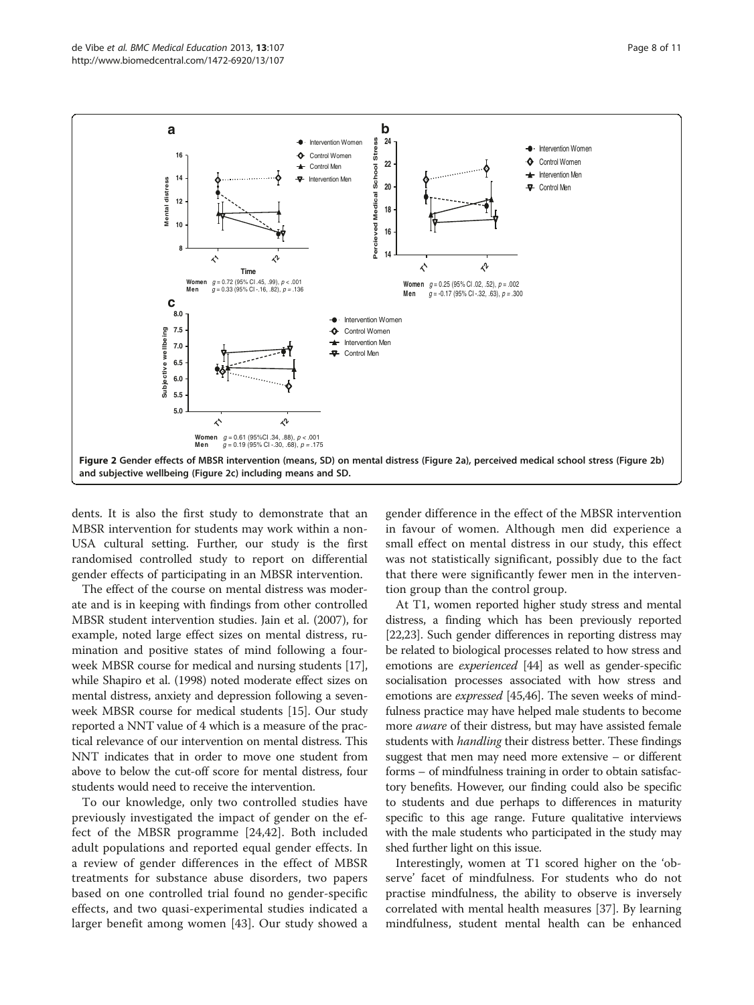<span id="page-7-0"></span>

dents. It is also the first study to demonstrate that an MBSR intervention for students may work within a non-USA cultural setting. Further, our study is the first randomised controlled study to report on differential gender effects of participating in an MBSR intervention.

The effect of the course on mental distress was moderate and is in keeping with findings from other controlled MBSR student intervention studies. Jain et al. (2007), for example, noted large effect sizes on mental distress, rumination and positive states of mind following a fourweek MBSR course for medical and nursing students [[17](#page-9-0)], while Shapiro et al. (1998) noted moderate effect sizes on mental distress, anxiety and depression following a sevenweek MBSR course for medical students [\[15\]](#page-9-0). Our study reported a NNT value of 4 which is a measure of the practical relevance of our intervention on mental distress. This NNT indicates that in order to move one student from above to below the cut-off score for mental distress, four students would need to receive the intervention.

To our knowledge, only two controlled studies have previously investigated the impact of gender on the effect of the MBSR programme [[24](#page-9-0)[,42](#page-10-0)]. Both included adult populations and reported equal gender effects. In a review of gender differences in the effect of MBSR treatments for substance abuse disorders, two papers based on one controlled trial found no gender-specific effects, and two quasi-experimental studies indicated a larger benefit among women [[43\]](#page-10-0). Our study showed a gender difference in the effect of the MBSR intervention in favour of women. Although men did experience a small effect on mental distress in our study, this effect was not statistically significant, possibly due to the fact that there were significantly fewer men in the intervention group than the control group.

At T1, women reported higher study stress and mental distress, a finding which has been previously reported [[22,23](#page-9-0)]. Such gender differences in reporting distress may be related to biological processes related to how stress and emotions are experienced [\[44\]](#page-10-0) as well as gender-specific socialisation processes associated with how stress and emotions are *expressed* [\[45,46](#page-10-0)]. The seven weeks of mindfulness practice may have helped male students to become more *aware* of their distress, but may have assisted female students with *handling* their distress better. These findings suggest that men may need more extensive – or different forms – of mindfulness training in order to obtain satisfactory benefits. However, our finding could also be specific to students and due perhaps to differences in maturity specific to this age range. Future qualitative interviews with the male students who participated in the study may shed further light on this issue.

Interestingly, women at T1 scored higher on the 'observe' facet of mindfulness. For students who do not practise mindfulness, the ability to observe is inversely correlated with mental health measures [[37\]](#page-9-0). By learning mindfulness, student mental health can be enhanced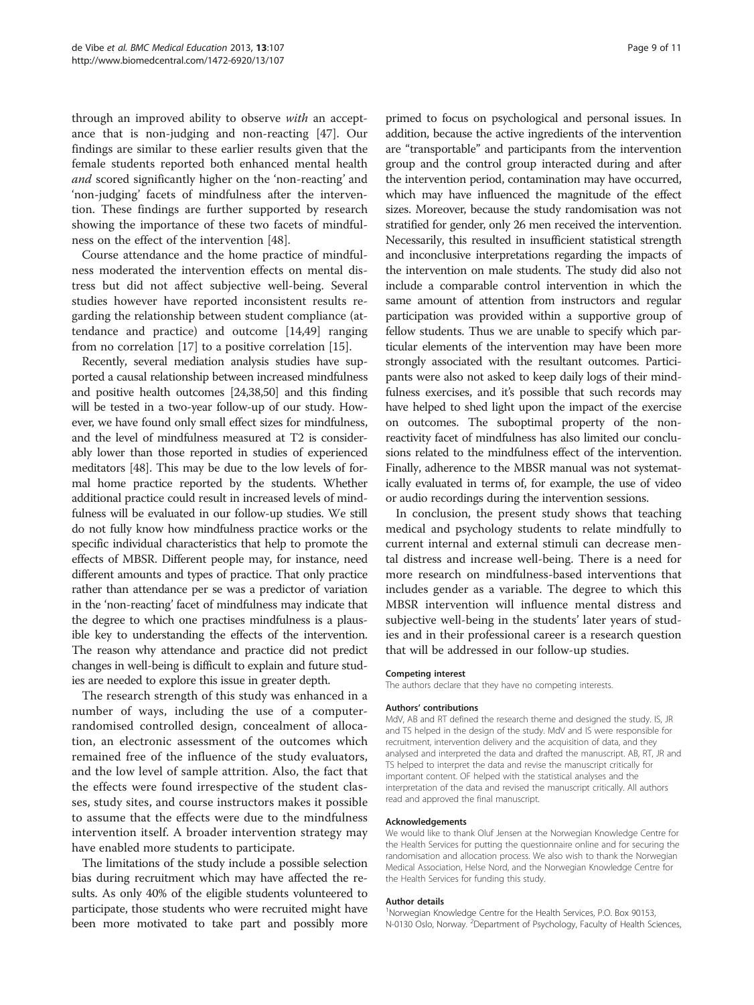through an improved ability to observe with an acceptance that is non-judging and non-reacting [[47\]](#page-10-0). Our findings are similar to these earlier results given that the female students reported both enhanced mental health and scored significantly higher on the 'non-reacting' and 'non-judging' facets of mindfulness after the intervention. These findings are further supported by research showing the importance of these two facets of mindfulness on the effect of the intervention [\[48](#page-10-0)].

Course attendance and the home practice of mindfulness moderated the intervention effects on mental distress but did not affect subjective well-being. Several studies however have reported inconsistent results regarding the relationship between student compliance (attendance and practice) and outcome [[14](#page-9-0),[49](#page-10-0)] ranging from no correlation [[17](#page-9-0)] to a positive correlation [[15\]](#page-9-0).

Recently, several mediation analysis studies have supported a causal relationship between increased mindfulness and positive health outcomes [[24,38,](#page-9-0)[50](#page-10-0)] and this finding will be tested in a two-year follow-up of our study. However, we have found only small effect sizes for mindfulness, and the level of mindfulness measured at T2 is considerably lower than those reported in studies of experienced meditators [\[48\]](#page-10-0). This may be due to the low levels of formal home practice reported by the students. Whether additional practice could result in increased levels of mindfulness will be evaluated in our follow-up studies. We still do not fully know how mindfulness practice works or the specific individual characteristics that help to promote the effects of MBSR. Different people may, for instance, need different amounts and types of practice. That only practice rather than attendance per se was a predictor of variation in the 'non-reacting' facet of mindfulness may indicate that the degree to which one practises mindfulness is a plausible key to understanding the effects of the intervention. The reason why attendance and practice did not predict changes in well-being is difficult to explain and future studies are needed to explore this issue in greater depth.

The research strength of this study was enhanced in a number of ways, including the use of a computerrandomised controlled design, concealment of allocation, an electronic assessment of the outcomes which remained free of the influence of the study evaluators, and the low level of sample attrition. Also, the fact that the effects were found irrespective of the student classes, study sites, and course instructors makes it possible to assume that the effects were due to the mindfulness intervention itself. A broader intervention strategy may have enabled more students to participate.

The limitations of the study include a possible selection bias during recruitment which may have affected the results. As only 40% of the eligible students volunteered to participate, those students who were recruited might have been more motivated to take part and possibly more addition, because the active ingredients of the intervention are "transportable" and participants from the intervention group and the control group interacted during and after the intervention period, contamination may have occurred, which may have influenced the magnitude of the effect sizes. Moreover, because the study randomisation was not stratified for gender, only 26 men received the intervention. Necessarily, this resulted in insufficient statistical strength and inconclusive interpretations regarding the impacts of the intervention on male students. The study did also not include a comparable control intervention in which the same amount of attention from instructors and regular participation was provided within a supportive group of fellow students. Thus we are unable to specify which particular elements of the intervention may have been more strongly associated with the resultant outcomes. Participants were also not asked to keep daily logs of their mindfulness exercises, and it's possible that such records may have helped to shed light upon the impact of the exercise on outcomes. The suboptimal property of the nonreactivity facet of mindfulness has also limited our conclusions related to the mindfulness effect of the intervention. Finally, adherence to the MBSR manual was not systematically evaluated in terms of, for example, the use of video or audio recordings during the intervention sessions.

In conclusion, the present study shows that teaching medical and psychology students to relate mindfully to current internal and external stimuli can decrease mental distress and increase well-being. There is a need for more research on mindfulness-based interventions that includes gender as a variable. The degree to which this MBSR intervention will influence mental distress and subjective well-being in the students' later years of studies and in their professional career is a research question that will be addressed in our follow-up studies.

#### Competing interest

The authors declare that they have no competing interests.

#### Authors' contributions

MdV, AB and RT defined the research theme and designed the study. IS, JR and TS helped in the design of the study. MdV and IS were responsible for recruitment, intervention delivery and the acquisition of data, and they analysed and interpreted the data and drafted the manuscript. AB, RT, JR and TS helped to interpret the data and revise the manuscript critically for important content. OF helped with the statistical analyses and the interpretation of the data and revised the manuscript critically. All authors read and approved the final manuscript.

#### Acknowledgements

We would like to thank Oluf Jensen at the Norwegian Knowledge Centre for the Health Services for putting the questionnaire online and for securing the randomisation and allocation process. We also wish to thank the Norwegian Medical Association, Helse Nord, and the Norwegian Knowledge Centre for the Health Services for funding this study.

#### Author details

<sup>1</sup>Norwegian Knowledge Centre for the Health Services, P.O. Box 90153 N-0130 Oslo, Norway. <sup>2</sup>Department of Psychology, Faculty of Health Sciences,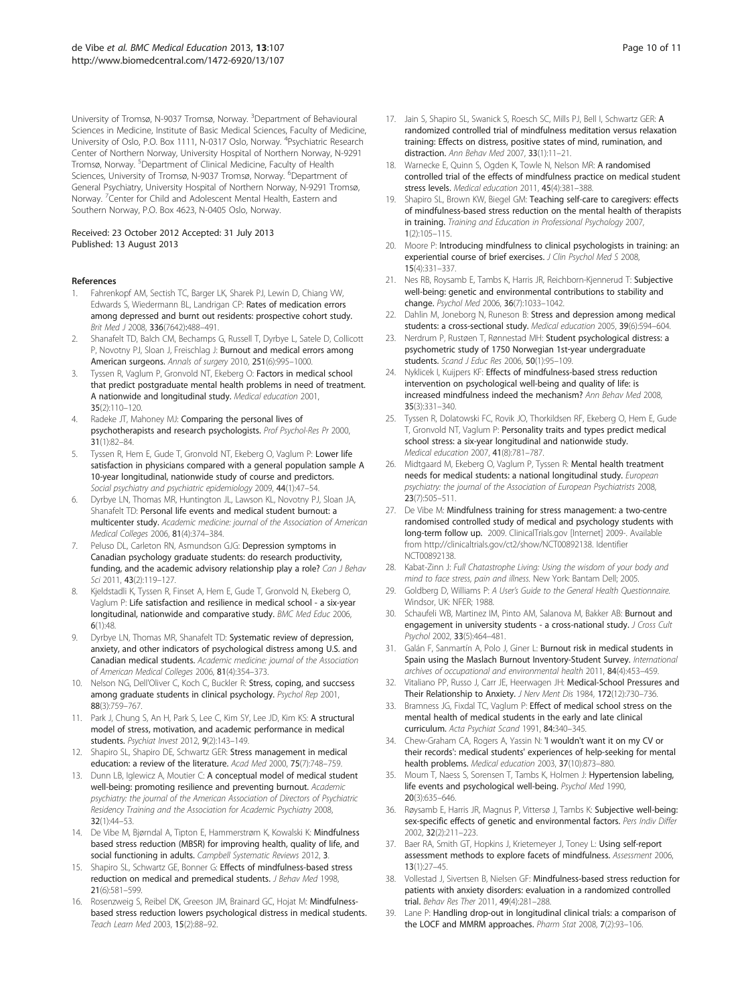<span id="page-9-0"></span>University of Tromsø, N-9037 Tromsø, Norway. <sup>3</sup>Department of Behavioural Sciences in Medicine, Institute of Basic Medical Sciences, Faculty of Medicine, University of Oslo, P.O. Box 1111, N-0317 Oslo, Norway. <sup>4</sup>Psychiatric Research Center of Northern Norway, University Hospital of Northern Norway, N-9291 Tromsø, Norway. <sup>5</sup>Department of Clinical Medicine, Faculty of Health Sciences, University of Tromsø, N-9037 Tromsø, Norway. <sup>6</sup>Department of General Psychiatry, University Hospital of Northern Norway, N-9291 Tromsø, Norway. <sup>7</sup>Center for Child and Adolescent Mental Health, Eastern and Southern Norway, P.O. Box 4623, N-0405 Oslo, Norway.

#### Received: 23 October 2012 Accepted: 31 July 2013 Published: 13 August 2013

#### References

- 1. Fahrenkopf AM, Sectish TC, Barger LK, Sharek PJ, Lewin D, Chiang VW, Edwards S, Wiedermann BL, Landrigan CP: Rates of medication errors among depressed and burnt out residents: prospective cohort study. Brit Med J 2008, 336(7642):488–491.
- 2. Shanafelt TD, Balch CM, Bechamps G, Russell T, Dyrbye L, Satele D, Collicott P, Novotny PJ, Sloan J, Freischlag J: Burnout and medical errors among American surgeons. Annals of surgery 2010, 251(6):995–1000.
- Tyssen R, Vaglum P, Gronvold NT, Ekeberg O: Factors in medical school that predict postgraduate mental health problems in need of treatment. A nationwide and longitudinal study. Medical education 2001, 35(2):110–120.
- 4. Radeke JT, Mahoney MJ: Comparing the personal lives of psychotherapists and research psychologists. Prof Psychol-Res Pr 2000, 31(1):82–84.
- Tyssen R, Hem E, Gude T, Gronvold NT, Ekeberg O, Vaglum P: Lower life satisfaction in physicians compared with a general population sample A 10-year longitudinal, nationwide study of course and predictors. Social psychiatry and psychiatric epidemiology 2009, 44(1):47–54.
- 6. Dyrbye LN, Thomas MR, Huntington JL, Lawson KL, Novotny PJ, Sloan JA, Shanafelt TD: Personal life events and medical student burnout: a multicenter study. Academic medicine: journal of the Association of American Medical Colleges 2006, 81(4):374–384.
- Peluso DL, Carleton RN, Asmundson GJG: Depression symptoms in Canadian psychology graduate students: do research productivity, funding, and the academic advisory relationship play a role? Can J Behav Sci 2011, 43(2):119–127.
- 8. Kjeldstadli K, Tyssen R, Finset A, Hem E, Gude T, Gronvold N, Ekeberg O, Vaglum P: Life satisfaction and resilience in medical school - a six-year longitudinal, nationwide and comparative study. BMC Med Educ 2006, 6(1):48.
- Dyrbye LN, Thomas MR, Shanafelt TD: Systematic review of depression, anxiety, and other indicators of psychological distress among U.S. and Canadian medical students. Academic medicine: journal of the Association of American Medical Colleges 2006, 81(4):354–373.
- 10. Nelson NG, Dell'Oliver C, Koch C, Buckler R: Stress, coping, and succsess among graduate students in clinical psychology. Psychol Rep 2001, 88(3):759–767.
- 11. Park J, Chung S, An H, Park S, Lee C, Kim SY, Lee JD, Kim KS: A structural model of stress, motivation, and academic performance in medical students. Psychiat Invest 2012, 9(2):143–149.
- 12. Shapiro SL, Shapiro DE, Schwartz GER: Stress management in medical education: a review of the literature. Acad Med 2000, 75(7):748-759.
- 13. Dunn LB, Iglewicz A, Moutier C: A conceptual model of medical student well-being: promoting resilience and preventing burnout. Academic psychiatry: the journal of the American Association of Directors of Psychiatric Residency Training and the Association for Academic Psychiatry 2008, 32(1):44–53.
- 14. De Vibe M, Bjørndal A, Tipton E, Hammerstrøm K, Kowalski K: Mindfulness based stress reduction (MBSR) for improving health, quality of life, and social functioning in adults. Campbell Systematic Reviews 2012, 3.
- 15. Shapiro SL, Schwartz GE, Bonner G: Effects of mindfulness-based stress reduction on medical and premedical students. J Behav Med 1998, 21(6):581–599.
- 16. Rosenzweig S, Reibel DK, Greeson JM, Brainard GC, Hojat M: Mindfulnessbased stress reduction lowers psychological distress in medical students. Teach Learn Med 2003, 15(2):88–92.
- 17. Jain S, Shapiro SL, Swanick S, Roesch SC, Mills PJ, Bell I, Schwartz GER: A randomized controlled trial of mindfulness meditation versus relaxation training: Effects on distress, positive states of mind, rumination, and distraction. Ann Behav Med 2007, 33(1):11–21.
- 18. Warnecke E, Quinn S, Qaden K, Towle N, Nelson MR: A randomised controlled trial of the effects of mindfulness practice on medical student stress levels. Medical education 2011, 45(4):381–388.
- 19. Shapiro SL, Brown KW, Biegel GM: Teaching self-care to caregivers: effects of mindfulness-based stress reduction on the mental health of therapists in training. Training and Education in Professional Psychology 2007, 1(2):105–115.
- 20. Moore P: Introducing mindfulness to clinical psychologists in training: an experiential course of brief exercises. J Clin Psychol Med S 2008, 15(4):331–337.
- 21. Nes RB, Roysamb E, Tambs K, Harris JR, Reichborn-Kjennerud T: Subjective well-being: genetic and environmental contributions to stability and change. Psychol Med 2006, 36(7):1033–1042.
- 22. Dahlin M, Joneborg N, Runeson B: Stress and depression among medical students: a cross-sectional study. Medical education 2005, 39(6):594–604.
- 23. Nerdrum P, Rustøen T, Rønnestad MH: Student psychological distress: a psychometric study of 1750 Norwegian 1st‐year undergraduate students. Scand J Educ Res 2006, 50(1):95–109.
- 24. Nyklicek I, Kuijpers KF: Effects of mindfulness-based stress reduction intervention on psychological well-being and quality of life: is increased mindfulness indeed the mechanism? Ann Behav Med 2008, 35(3):331–340.
- 25. Tyssen R, Dolatowski FC, Rovik JO, Thorkildsen RF, Ekeberg O, Hem E, Gude T, Gronvold NT, Vaglum P: Personality traits and types predict medical school stress: a six-year longitudinal and nationwide study. Medical education 2007, 41(8):781–787.
- 26. Midtgaard M, Ekeberg O, Vaglum P, Tyssen R: Mental health treatment needs for medical students: a national longitudinal study. European psychiatry: the journal of the Association of European Psychiatrists 2008, 23(7):505–511.
- 27. De Vibe M: Mindfulness training for stress management: a two-centre randomised controlled study of medical and psychology students with long-term follow up. 2009. ClinicalTrials.gov [Internet] 2009-. Available from [http://clinicaltrials.gov/ct2/show/NCT00892138.](http://clinicaltrials.gov/ct2/show/NCT00892138) Identifier NCT00892138.
- 28. Kabat-Zinn J: Full Chatastrophe Living: Using the wisdom of your body and mind to face stress, pain and illness. New York: Bantam Dell; 2005.
- 29. Goldberg D, Williams P: A User's Guide to the General Health Questionnaire. Windsor, UK: NFER; 1988.
- 30. Schaufeli WB, Martinez IM, Pinto AM, Salanova M, Bakker AB: Burnout and engagement in university students - a cross-national study. J Cross Cult Psychol 2002, 33(5):464–481.
- 31. Galán F, Sanmartín A, Polo J, Giner L: Burnout risk in medical students in Spain using the Maslach Burnout Inventory-Student Survey. International archives of occupational and environmental health 2011, 84(4):453–459.
- Vitaliano PP, Russo J, Carr JE, Heerwagen JH: Medical-School Pressures and Their Relationship to Anxiety. J Nerv Ment Dis 1984, 172(12):730–736.
- 33. Bramness JG, Fixdal TC, Vaglum P: Effect of medical school stress on the mental health of medical students in the early and late clinical curriculum. Acta Psychiat Scand 1991, 84:340–345.
- 34. Chew-Graham CA, Rogers A, Yassin N: 'I wouldn't want it on my CV or their records': medical students' experiences of help-seeking for mental health problems. Medical education 2003, 37(10):873–880.
- 35. Moum T, Naess S, Sorensen T, Tambs K, Holmen J: Hypertension labeling, life events and psychological well-being. Psychol Med 1990, 20(3):635–646.
- 36. Røysamb E, Harris JR, Magnus P, Vittersø J, Tambs K: Subjective well-being: sex-specific effects of genetic and environmental factors. Pers Indiv Differ 2002, 32(2):211–223.
- 37. Baer RA, Smith GT, Hopkins J, Krietemeyer J, Toney L: Using self-report assessment methods to explore facets of mindfulness. Assessment 2006, 13(1):27–45.
- 38. Vollestad J, Sivertsen B, Nielsen GF: Mindfulness-based stress reduction for patients with anxiety disorders: evaluation in a randomized controlled trial. Behav Res Ther 2011, 49(4):281–288.
- 39. Lane P: Handling drop-out in longitudinal clinical trials: a comparison of the LOCF and MMRM approaches. Pharm Stat 2008, 7(2):93–106.